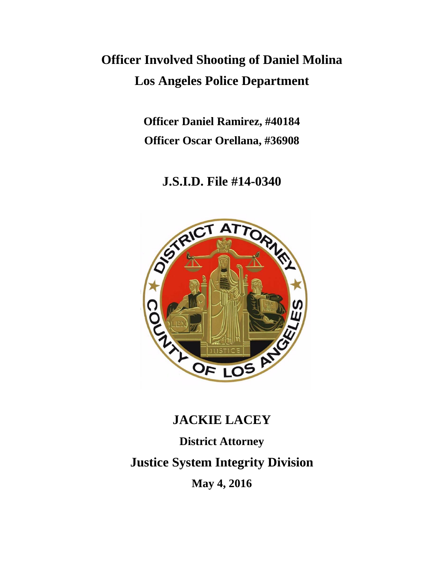# **Officer Involved Shooting of Daniel Molina Los Angeles Police Department**

**Officer Daniel Ramirez, #40184 Officer Oscar Orellana, #36908**

**J.S.I.D. File #14-0340**



# **JACKIE LACEY**

**District Attorney Justice System Integrity Division May 4, 2016**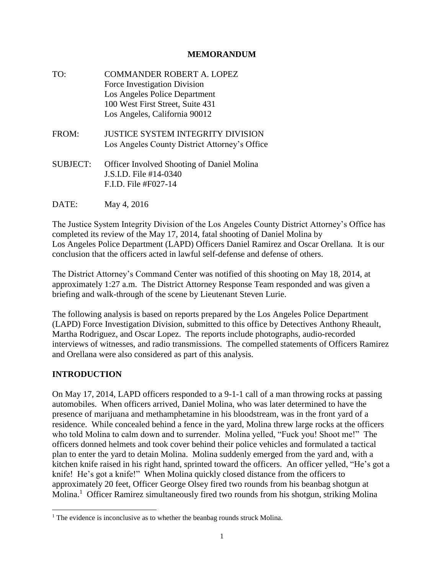#### **MEMORANDUM**

TO: COMMANDER ROBERT A. LOPEZ Force Investigation Division Los Angeles Police Department 100 West First Street, Suite 431 Los Angeles, California 90012 FROM: JUSTICE SYSTEM INTEGRITY DIVISION Los Angeles County District Attorney's Office SUBJECT: Officer Involved Shooting of Daniel Molina J.S.I.D. File #14-0340 F.I.D. File #F027-14

DATE: May 4, 2016

The Justice System Integrity Division of the Los Angeles County District Attorney's Office has completed its review of the May 17, 2014, fatal shooting of Daniel Molina by Los Angeles Police Department (LAPD) Officers Daniel Ramirez and Oscar Orellana. It is our conclusion that the officers acted in lawful self-defense and defense of others.

The District Attorney's Command Center was notified of this shooting on May 18, 2014, at approximately 1:27 a.m. The District Attorney Response Team responded and was given a briefing and walk-through of the scene by Lieutenant Steven Lurie.

The following analysis is based on reports prepared by the Los Angeles Police Department (LAPD) Force Investigation Division, submitted to this office by Detectives Anthony Rheault, Martha Rodriguez, and Oscar Lopez. The reports include photographs, audio-recorded interviews of witnesses, and radio transmissions. The compelled statements of Officers Ramirez and Orellana were also considered as part of this analysis.

#### **INTRODUCTION**

l

On May 17, 2014, LAPD officers responded to a 9-1-1 call of a man throwing rocks at passing automobiles. When officers arrived, Daniel Molina, who was later determined to have the presence of marijuana and methamphetamine in his bloodstream, was in the front yard of a residence. While concealed behind a fence in the yard, Molina threw large rocks at the officers who told Molina to calm down and to surrender. Molina yelled, "Fuck you! Shoot me!" The officers donned helmets and took cover behind their police vehicles and formulated a tactical plan to enter the yard to detain Molina. Molina suddenly emerged from the yard and, with a kitchen knife raised in his right hand, sprinted toward the officers. An officer yelled, "He's got a knife! He's got a knife!" When Molina quickly closed distance from the officers to approximately 20 feet, Officer George Olsey fired two rounds from his beanbag shotgun at Molina.<sup>1</sup> Officer Ramirez simultaneously fired two rounds from his shotgun, striking Molina

 $<sup>1</sup>$  The evidence is inconclusive as to whether the beanbag rounds struck Molina.</sup>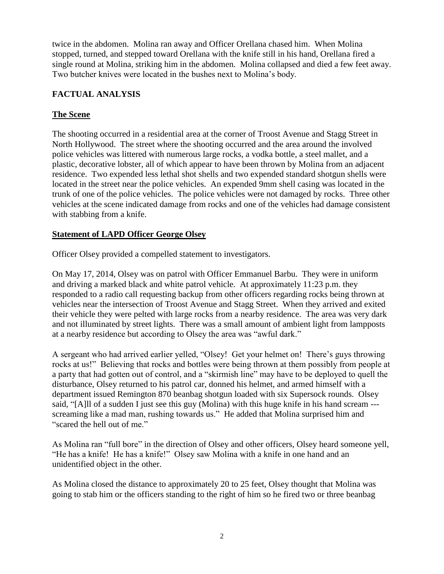twice in the abdomen. Molina ran away and Officer Orellana chased him. When Molina stopped, turned, and stepped toward Orellana with the knife still in his hand, Orellana fired a single round at Molina, striking him in the abdomen. Molina collapsed and died a few feet away. Two butcher knives were located in the bushes next to Molina's body.

### **FACTUAL ANALYSIS**

#### **The Scene**

The shooting occurred in a residential area at the corner of Troost Avenue and Stagg Street in North Hollywood. The street where the shooting occurred and the area around the involved police vehicles was littered with numerous large rocks, a vodka bottle, a steel mallet, and a plastic, decorative lobster, all of which appear to have been thrown by Molina from an adjacent residence. Two expended less lethal shot shells and two expended standard shotgun shells were located in the street near the police vehicles. An expended 9mm shell casing was located in the trunk of one of the police vehicles. The police vehicles were not damaged by rocks. Three other vehicles at the scene indicated damage from rocks and one of the vehicles had damage consistent with stabbing from a knife.

#### **Statement of LAPD Officer George Olsey**

Officer Olsey provided a compelled statement to investigators.

On May 17, 2014, Olsey was on patrol with Officer Emmanuel Barbu. They were in uniform and driving a marked black and white patrol vehicle. At approximately 11:23 p.m. they responded to a radio call requesting backup from other officers regarding rocks being thrown at vehicles near the intersection of Troost Avenue and Stagg Street. When they arrived and exited their vehicle they were pelted with large rocks from a nearby residence. The area was very dark and not illuminated by street lights. There was a small amount of ambient light from lampposts at a nearby residence but according to Olsey the area was "awful dark."

A sergeant who had arrived earlier yelled, "Olsey! Get your helmet on! There's guys throwing rocks at us!" Believing that rocks and bottles were being thrown at them possibly from people at a party that had gotten out of control, and a "skirmish line" may have to be deployed to quell the disturbance, Olsey returned to his patrol car, donned his helmet, and armed himself with a department issued Remington 870 beanbag shotgun loaded with six Supersock rounds. Olsey said, "[A]ll of a sudden I just see this guy (Molina) with this huge knife in his hand scream -- screaming like a mad man, rushing towards us." He added that Molina surprised him and "scared the hell out of me."

As Molina ran "full bore" in the direction of Olsey and other officers, Olsey heard someone yell, "He has a knife! He has a knife!" Olsey saw Molina with a knife in one hand and an unidentified object in the other.

As Molina closed the distance to approximately 20 to 25 feet, Olsey thought that Molina was going to stab him or the officers standing to the right of him so he fired two or three beanbag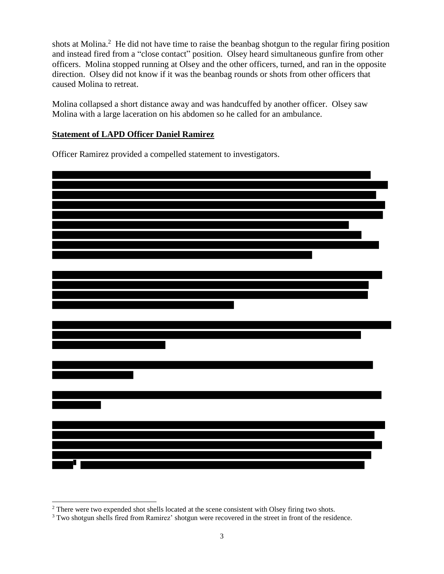shots at Molina.<sup>2</sup> He did not have time to raise the beanbag shotgun to the regular firing position and instead fired from a "close contact" position. Olsey heard simultaneous gunfire from other officers. Molina stopped running at Olsey and the other officers, turned, and ran in the opposite direction. Olsey did not know if it was the beanbag rounds or shots from other officers that caused Molina to retreat.

Molina collapsed a short distance away and was handcuffed by another officer. Olsey saw Molina with a large laceration on his abdomen so he called for an ambulance.

#### **Statement of LAPD Officer Daniel Ramirez**

Officer Ramirez provided a compelled statement to investigators.



 $\overline{a}$  $2$ <sup>2</sup> There were two expended shot shells located at the scene consistent with Olsey firing two shots.

<sup>&</sup>lt;sup>3</sup> Two shotgun shells fired from Ramirez' shotgun were recovered in the street in front of the residence.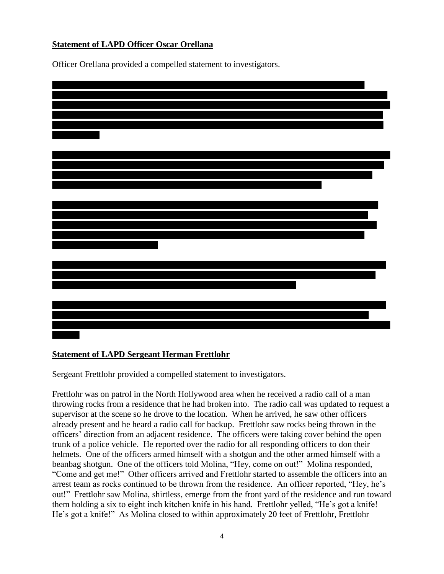#### **Statement of LAPD Officer Oscar Orellana**

Officer Orellana provided a compelled statement to investigators.

#### **Statement of LAPD Sergeant Herman Frettlohr**

Sergeant Frettlohr provided a compelled statement to investigators.

Frettlohr was on patrol in the North Hollywood area when he received a radio call of a man throwing rocks from a residence that he had broken into. The radio call was updated to request a supervisor at the scene so he drove to the location. When he arrived, he saw other officers already present and he heard a radio call for backup. Frettlohr saw rocks being thrown in the officers' direction from an adjacent residence. The officers were taking cover behind the open trunk of a police vehicle. He reported over the radio for all responding officers to don their helmets. One of the officers armed himself with a shotgun and the other armed himself with a beanbag shotgun. One of the officers told Molina, "Hey, come on out!" Molina responded, "Come and get me!" Other officers arrived and Frettlohr started to assemble the officers into an arrest team as rocks continued to be thrown from the residence. An officer reported, "Hey, he's out!" Frettlohr saw Molina, shirtless, emerge from the front yard of the residence and run toward them holding a six to eight inch kitchen knife in his hand. Frettlohr yelled, "He's got a knife! He's got a knife!" As Molina closed to within approximately 20 feet of Frettlohr, Frettlohr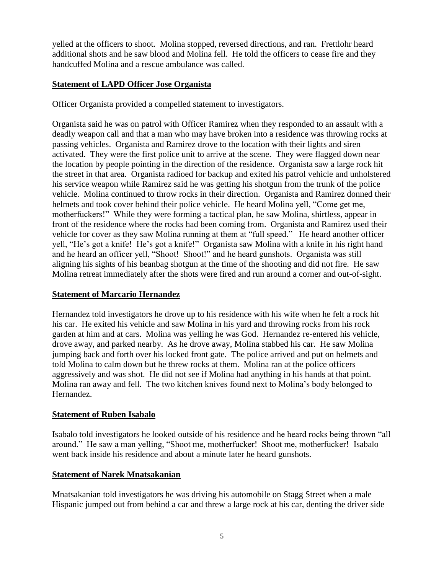yelled at the officers to shoot. Molina stopped, reversed directions, and ran. Frettlohr heard additional shots and he saw blood and Molina fell. He told the officers to cease fire and they handcuffed Molina and a rescue ambulance was called.

#### **Statement of LAPD Officer Jose Organista**

Officer Organista provided a compelled statement to investigators.

Organista said he was on patrol with Officer Ramirez when they responded to an assault with a deadly weapon call and that a man who may have broken into a residence was throwing rocks at passing vehicles. Organista and Ramirez drove to the location with their lights and siren activated. They were the first police unit to arrive at the scene. They were flagged down near the location by people pointing in the direction of the residence. Organista saw a large rock hit the street in that area. Organista radioed for backup and exited his patrol vehicle and unholstered his service weapon while Ramirez said he was getting his shotgun from the trunk of the police vehicle. Molina continued to throw rocks in their direction. Organista and Ramirez donned their helmets and took cover behind their police vehicle. He heard Molina yell, "Come get me, motherfuckers!" While they were forming a tactical plan, he saw Molina, shirtless, appear in front of the residence where the rocks had been coming from. Organista and Ramirez used their vehicle for cover as they saw Molina running at them at "full speed." He heard another officer yell, "He's got a knife! He's got a knife!" Organista saw Molina with a knife in his right hand and he heard an officer yell, "Shoot! Shoot!" and he heard gunshots. Organista was still aligning his sights of his beanbag shotgun at the time of the shooting and did not fire. He saw Molina retreat immediately after the shots were fired and run around a corner and out-of-sight.

#### **Statement of Marcario Hernandez**

Hernandez told investigators he drove up to his residence with his wife when he felt a rock hit his car. He exited his vehicle and saw Molina in his yard and throwing rocks from his rock garden at him and at cars. Molina was yelling he was God. Hernandez re-entered his vehicle, drove away, and parked nearby. As he drove away, Molina stabbed his car. He saw Molina jumping back and forth over his locked front gate. The police arrived and put on helmets and told Molina to calm down but he threw rocks at them. Molina ran at the police officers aggressively and was shot. He did not see if Molina had anything in his hands at that point. Molina ran away and fell. The two kitchen knives found next to Molina's body belonged to Hernandez.

#### **Statement of Ruben Isabalo**

Isabalo told investigators he looked outside of his residence and he heard rocks being thrown "all around." He saw a man yelling, "Shoot me, motherfucker! Shoot me, motherfucker! Isabalo went back inside his residence and about a minute later he heard gunshots.

# **Statement of Narek Mnatsakanian**

Mnatsakanian told investigators he was driving his automobile on Stagg Street when a male Hispanic jumped out from behind a car and threw a large rock at his car, denting the driver side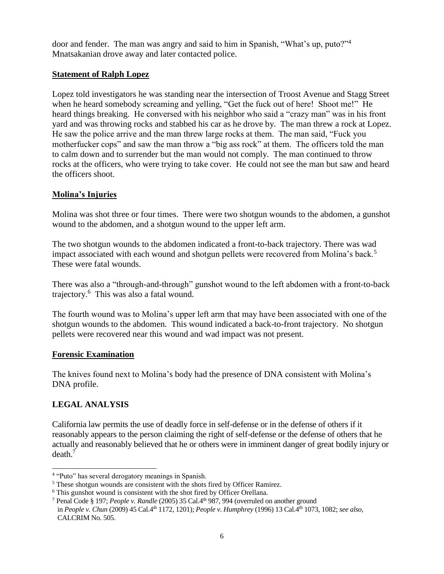door and fender. The man was angry and said to him in Spanish, "What's up, puto?"<sup>4</sup> Mnatsakanian drove away and later contacted police.

#### **Statement of Ralph Lopez**

Lopez told investigators he was standing near the intersection of Troost Avenue and Stagg Street when he heard somebody screaming and yelling, "Get the fuck out of here! Shoot me!" He heard things breaking. He conversed with his neighbor who said a "crazy man" was in his front yard and was throwing rocks and stabbed his car as he drove by. The man threw a rock at Lopez. He saw the police arrive and the man threw large rocks at them. The man said, "Fuck you motherfucker cops" and saw the man throw a "big ass rock" at them. The officers told the man to calm down and to surrender but the man would not comply. The man continued to throw rocks at the officers, who were trying to take cover. He could not see the man but saw and heard the officers shoot.

# **Molina's Injuries**

Molina was shot three or four times. There were two shotgun wounds to the abdomen, a gunshot wound to the abdomen, and a shotgun wound to the upper left arm.

The two shotgun wounds to the abdomen indicated a front-to-back trajectory. There was wad impact associated with each wound and shotgun pellets were recovered from Molina's back.<sup>5</sup> These were fatal wounds.

There was also a "through-and-through" gunshot wound to the left abdomen with a front-to-back trajectory.<sup>6</sup> This was also a fatal wound.

The fourth wound was to Molina's upper left arm that may have been associated with one of the shotgun wounds to the abdomen. This wound indicated a back-to-front trajectory. No shotgun pellets were recovered near this wound and wad impact was not present.

# **Forensic Examination**

The knives found next to Molina's body had the presence of DNA consistent with Molina's DNA profile.

# **LEGAL ANALYSIS**

California law permits the use of deadly force in self-defense or in the defense of others if it reasonably appears to the person claiming the right of self-defense or the defense of others that he actually and reasonably believed that he or others were in imminent danger of great bodily injury or  $death.<sup>7</sup>$ 

 4 "Puto" has several derogatory meanings in Spanish.

<sup>5</sup> These shotgun wounds are consistent with the shots fired by Officer Ramirez.

<sup>&</sup>lt;sup>6</sup> This gunshot wound is consistent with the shot fired by Officer Orellana.

<sup>7</sup> Penal Code § 197; *People v. Randle* (2005) 35 Cal.4th 987, 994 (overruled on another ground in *People v. Chun* (2009) 45 Cal.4th 1172, 1201); *People v. Humphrey* (1996) 13 Cal.4th 1073, 1082; *see also,*  CALCRIM No. 505.